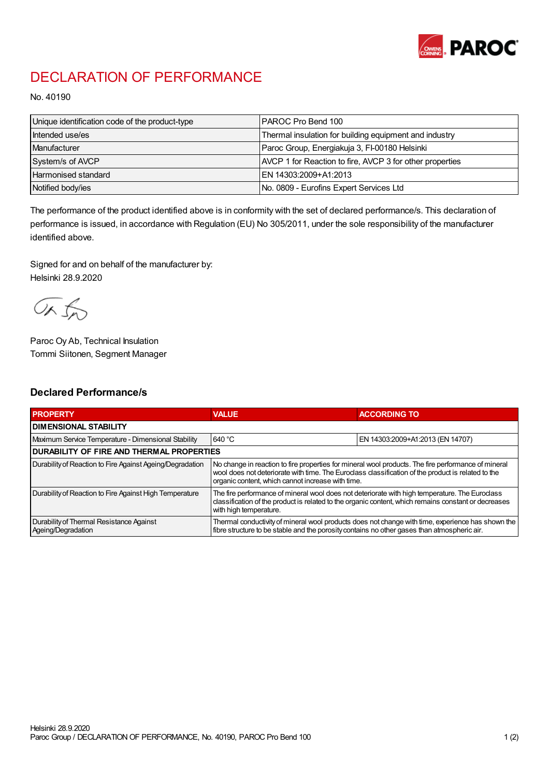

## DECLARATION OF PERFORMANCE

No. 40190

| Unique identification code of the product-type | IPAROC Pro Bend 100                                      |
|------------------------------------------------|----------------------------------------------------------|
| Intended use/es                                | Thermal insulation for building equipment and industry   |
| <b>Manufacturer</b>                            | Paroc Group, Energiakuja 3, FI-00180 Helsinki            |
| System/s of AVCP                               | AVCP 1 for Reaction to fire, AVCP 3 for other properties |
| <b>Harmonised standard</b>                     | EN 14303:2009+A1:2013                                    |
| Notified body/ies                              | No. 0809 - Eurofins Expert Services Ltd                  |

The performance of the product identified above is in conformity with the set of declared performance/s. This declaration of performance is issued, in accordance with Regulation (EU) No 305/2011, under the sole responsibility of the manufacturer identified above.

Signed for and on behalf of the manufacturer by: Helsinki 28.9.2020

ORJO

Paroc Oy Ab, Technical Insulation Tommi Siitonen, Segment Manager

## Declared Performance/s

| <b>PROPERTY</b>                                                | <b>VALUE</b>                                                                                                                                                                                                                                                   | <b>ACCORDING TO</b>              |  |
|----------------------------------------------------------------|----------------------------------------------------------------------------------------------------------------------------------------------------------------------------------------------------------------------------------------------------------------|----------------------------------|--|
| <b>I DIMENSIONAL STABILITY</b>                                 |                                                                                                                                                                                                                                                                |                                  |  |
| Maximum Service Temperature - Dimensional Stability            | 640 °C                                                                                                                                                                                                                                                         | EN 14303:2009+A1:2013 (EN 14707) |  |
| <b>DURABILITY OF FIRE AND THERMAL PROPERTIES</b>               |                                                                                                                                                                                                                                                                |                                  |  |
| Durability of Reaction to Fire Against Ageing/Degradation      | No change in reaction to fire properties for mineral wool products. The fire performance of mineral<br>wool does not deteriorate with time. The Euroclass classification of the product is related to the<br>organic content, which cannot increase with time. |                                  |  |
| Durability of Reaction to Fire Against High Temperature        | The fire performance of mineral wool does not deteriorate with high temperature. The Euroclass<br>classification of the product is related to the organic content, which remains constant or decreases<br>with high temperature.                               |                                  |  |
| Durability of Thermal Resistance Against<br>Ageing/Degradation | Thermal conductivity of mineral wool products does not change with time, experience has shown the<br>fibre structure to be stable and the porosity contains no other gases than atmospheric air.                                                               |                                  |  |